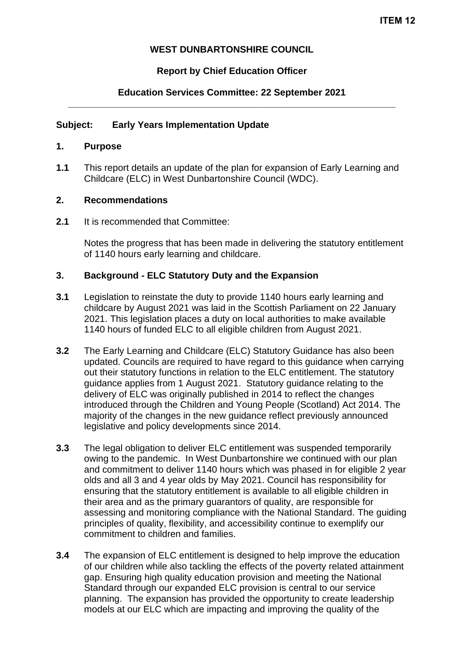## **WEST DUNBARTONSHIRE COUNCIL**

## **Report by Chief Education Officer**

## **Education Services Committee: 22 September 2021 \_\_\_\_\_\_\_\_\_\_\_\_\_\_\_\_\_\_\_\_\_\_\_\_\_\_\_\_\_\_\_\_\_\_\_\_\_\_\_\_\_\_\_\_\_\_\_\_\_\_\_\_\_\_\_\_\_\_\_\_\_\_\_**

## **Subject: Early Years Implementation Update**

#### **1. Purpose**

**1.1** This report details an update of the plan for expansion of Early Learning and Childcare (ELC) in West Dunbartonshire Council (WDC).

#### **2. Recommendations**

**2.1** It is recommended that Committee:

Notes the progress that has been made in delivering the statutory entitlement of 1140 hours early learning and childcare.

#### **3. Background - ELC Statutory Duty and the Expansion**

- **3.1** Legislation to reinstate the duty to provide 1140 hours early learning and childcare by August 2021 was laid in the Scottish Parliament on 22 January 2021. This legislation places a duty on local authorities to make available 1140 hours of funded ELC to all eligible children from August 2021.
- **3.2** The Early Learning and Childcare (ELC) Statutory Guidance has also been updated. Councils are required to have regard to this guidance when carrying out their statutory functions in relation to the ELC entitlement. The statutory guidance applies from 1 August 2021. Statutory guidance relating to the delivery of ELC was originally published in 2014 to reflect the changes introduced through the Children and Young People (Scotland) Act 2014. The majority of the changes in the new guidance reflect previously announced legislative and policy developments since 2014.
- **3.3** The legal obligation to deliver ELC entitlement was suspended temporarily owing to the pandemic. In West Dunbartonshire we continued with our plan and commitment to deliver 1140 hours which was phased in for eligible 2 year olds and all 3 and 4 year olds by May 2021. Council has responsibility for ensuring that the statutory entitlement is available to all eligible children in their area and as the primary guarantors of quality, are responsible for assessing and monitoring compliance with the National Standard. The guiding principles of quality, flexibility, and accessibility continue to exemplify our commitment to children and families.
- **3.4** The expansion of ELC entitlement is designed to help improve the education of our children while also tackling the effects of the poverty related attainment gap. Ensuring high quality education provision and meeting the National Standard through our expanded ELC provision is central to our service planning. The expansion has provided the opportunity to create leadership models at our ELC which are impacting and improving the quality of the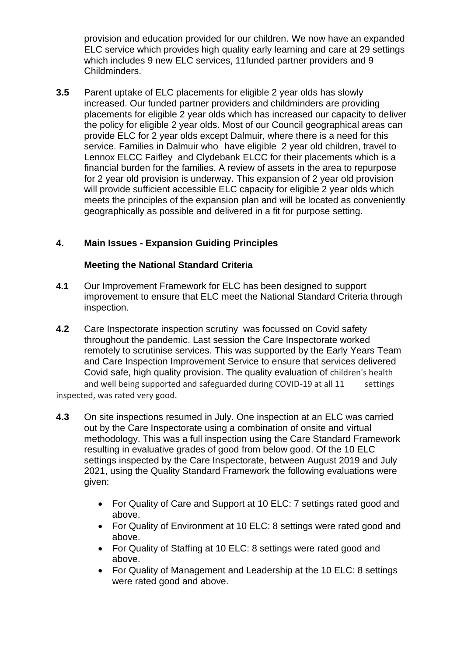provision and education provided for our children. We now have an expanded ELC service which provides high quality early learning and care at 29 settings which includes 9 new ELC services, 11funded partner providers and 9 Childminders.

**3.5** Parent uptake of ELC placements for eligible 2 year olds has slowly increased. Our funded partner providers and childminders are providing placements for eligible 2 year olds which has increased our capacity to deliver the policy for eligible 2 year olds. Most of our Council geographical areas can provide ELC for 2 year olds except Dalmuir, where there is a need for this service. Families in Dalmuir who have eligible 2 year old children, travel to Lennox ELCC Faifley and Clydebank ELCC for their placements which is a financial burden for the families. A review of assets in the area to repurpose for 2 year old provision is underway. This expansion of 2 year old provision will provide sufficient accessible ELC capacity for eligible 2 year olds which meets the principles of the expansion plan and will be located as conveniently geographically as possible and delivered in a fit for purpose setting.

# **4. Main Issues - Expansion Guiding Principles**

#### **Meeting the National Standard Criteria**

- **4.1** Our Improvement Framework for ELC has been designed to support improvement to ensure that ELC meet the National Standard Criteria through inspection.
- **4.2** Care Inspectorate inspection scrutiny was focussed on Covid safety throughout the pandemic. Last session the Care Inspectorate worked remotely to scrutinise services. This was supported by the Early Years Team and Care Inspection Improvement Service to ensure that services delivered Covid safe, high quality provision. The quality evaluation of children's health and well being supported and safeguarded during COVID-19 at all 11 settings

inspected, was rated very good..

- **4.3** On site inspections resumed in July. One inspection at an ELC was carried out by the Care Inspectorate using a combination of onsite and virtual methodology. This was a full inspection using the Care Standard Framework resulting in evaluative grades of good from below good. Of the 10 ELC settings inspected by the Care Inspectorate, between August 2019 and July 2021, using the Quality Standard Framework the following evaluations were given:
	- For Quality of Care and Support at 10 ELC: 7 settings rated good and above.
	- For Quality of Environment at 10 ELC: 8 settings were rated good and above.
	- For Quality of Staffing at 10 ELC: 8 settings were rated good and above.
	- For Quality of Management and Leadership at the 10 ELC: 8 settings were rated good and above.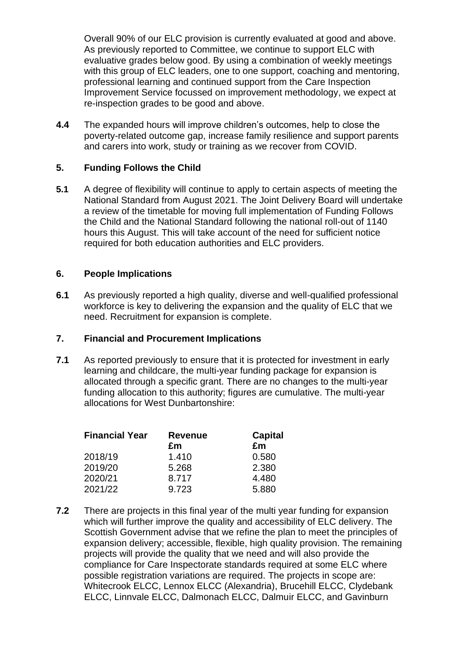Overall 90% of our ELC provision is currently evaluated at good and above. As previously reported to Committee, we continue to support ELC with evaluative grades below good. By using a combination of weekly meetings with this group of ELC leaders, one to one support, coaching and mentoring, professional learning and continued support from the Care Inspection Improvement Service focussed on improvement methodology, we expect at re-inspection grades to be good and above.

**4.4** The expanded hours will improve children's outcomes, help to close the poverty-related outcome gap, increase family resilience and support parents and carers into work, study or training as we recover from COVID.

## **5. Funding Follows the Child**

**5.1** A degree of flexibility will continue to apply to certain aspects of meeting the National Standard from August 2021. The Joint Delivery Board will undertake a review of the timetable for moving full implementation of Funding Follows the Child and the National Standard following the national roll-out of 1140 hours this August. This will take account of the need for sufficient notice required for both education authorities and ELC providers.

## **6. People Implications**

**6.1** As previously reported a high quality, diverse and well-qualified professional workforce is key to delivering the expansion and the quality of ELC that we need. Recruitment for expansion is complete.

## **7. Financial and Procurement Implications**

**7.1** As reported previously to ensure that it is protected for investment in early learning and childcare, the multi-year funding package for expansion is allocated through a specific grant. There are no changes to the multi-year funding allocation to this authority; figures are cumulative. The multi-year allocations for West Dunbartonshire:

| <b>Financial Year</b> | <b>Revenue</b><br>£m | <b>Capital</b><br>£m |
|-----------------------|----------------------|----------------------|
| 2018/19               | 1.410                | 0.580                |
| 2019/20               | 5.268                | 2.380                |
| 2020/21               | 8.717                | 4.480                |
| 2021/22               | 9.723                | 5.880                |
|                       |                      |                      |

**7.2** There are projects in this final year of the multi year funding for expansion which will further improve the quality and accessibility of ELC delivery. The Scottish Government advise that we refine the plan to meet the principles of expansion delivery; accessible, flexible, high quality provision. The remaining projects will provide the quality that we need and will also provide the compliance for Care Inspectorate standards required at some ELC where possible registration variations are required. The projects in scope are: Whitecrook ELCC, Lennox ELCC (Alexandria), Brucehill ELCC, Clydebank ELCC, Linnvale ELCC, Dalmonach ELCC, Dalmuir ELCC, and Gavinburn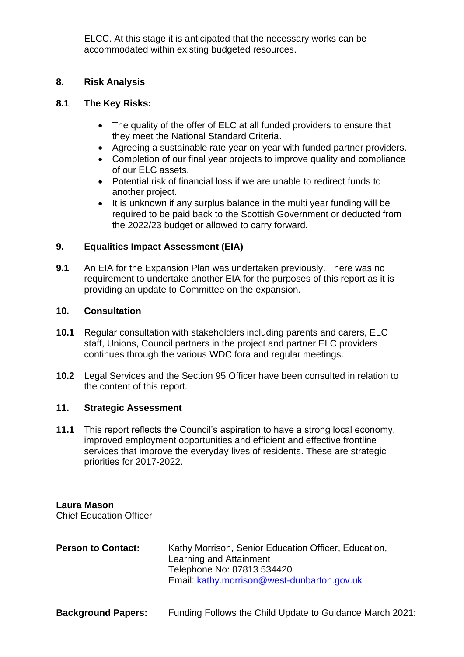ELCC. At this stage it is anticipated that the necessary works can be accommodated within existing budgeted resources.

## **8. Risk Analysis**

## **8.1 The Key Risks:**

- The quality of the offer of ELC at all funded providers to ensure that they meet the National Standard Criteria.
- Agreeing a sustainable rate year on year with funded partner providers.
- Completion of our final year projects to improve quality and compliance of our ELC assets.
- Potential risk of financial loss if we are unable to redirect funds to another project.
- It is unknown if any surplus balance in the multi year funding will be required to be paid back to the Scottish Government or deducted from the 2022/23 budget or allowed to carry forward.

# **9. Equalities Impact Assessment (EIA)**

**9.1** An EIA for the Expansion Plan was undertaken previously. There was no requirement to undertake another EIA for the purposes of this report as it is providing an update to Committee on the expansion.

### **10. Consultation**

- **10.1** Regular consultation with stakeholders including parents and carers, ELC staff, Unions, Council partners in the project and partner ELC providers continues through the various WDC fora and regular meetings.
- **10.2** Legal Services and the Section 95 Officer have been consulted in relation to the content of this report.

## **11. Strategic Assessment**

**11.1** This report reflects the Council's aspiration to have a strong local economy, improved employment opportunities and efficient and effective frontline services that improve the everyday lives of residents. These are strategic priorities for 2017-2022.

**Laura Mason** Chief Education Officer

| <b>Person to Contact:</b> | Kathy Morrison, Senior Education Officer, Education,<br>Learning and Attainment<br>Telephone No: 07813 534420 |
|---------------------------|---------------------------------------------------------------------------------------------------------------|
|                           | Email: kathy.morrison@west-dunbarton.gov.uk                                                                   |

**Background Papers:** Funding Follows the Child Update to Guidance March 2021: